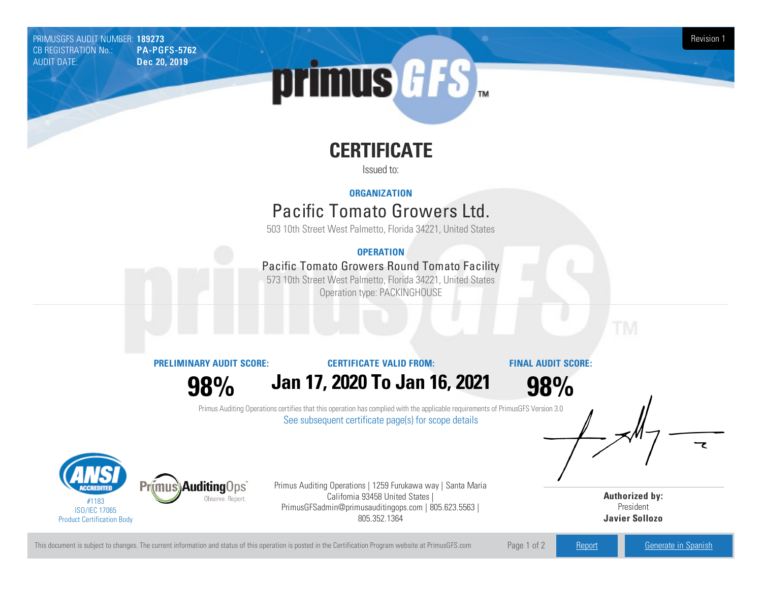PRIMUSGFS AUDIT NUMBER: 189273 Revision 1 CB REGISTRATION No.: PA-PGFS-5762 AUDIT DATE: Dec 20, 2019

# primus GFS

## **CERTIFICATE**

Issued to:

#### **ORGANIZATION**

### Pacific Tomato Growers Ltd.

503 10th Street West Palmetto, Florida 34221, United States

#### **OPERATION**

#### Pacific Tomato Growers Round Tomato Facility

573 10th Street West Palmetto, Florida 34221, United States Operation type: PACKINGHOUSE

**PRELIMINARY AUDIT SCORE:**

#### **CERTIFICATE VALID FROM:**

**FINAL AUDIT SCORE:**

**98%**

**Jan 17, 2020 To Jan 16, 2021**

**98%**

Primus Auditing Operations certifies that this operation has complied with the applicable requirements of PrimusGFS Version 3.0 See subsequent certificate page(s) for scope details



Primus Auditing Operations | 1259 Furukawa way | Santa Maria California 93458 United States | PrimusGFSadmin@primusauditingops.com | 805.623.5563 | 805.352.1364

**Authorized by:** President **Javier Sollozo**

This document is subject to changes. The current information and status of this operation is posted in the Certification Program website at PrimusGFS.com Page 1 of 2 [Report](https://secure.azzule.com/PGFSDocuments/PGFS_AuditReport189273_7132_1_EN.pdf) [Generate](https://secure.azzule.com/PrimusGFSAudits/pdfGenerator.aspx?AuditHeaderID=28413672897473883502351820023707267326728&AppId=77150076110&LanguageID=1&UserId=1) in Spanish